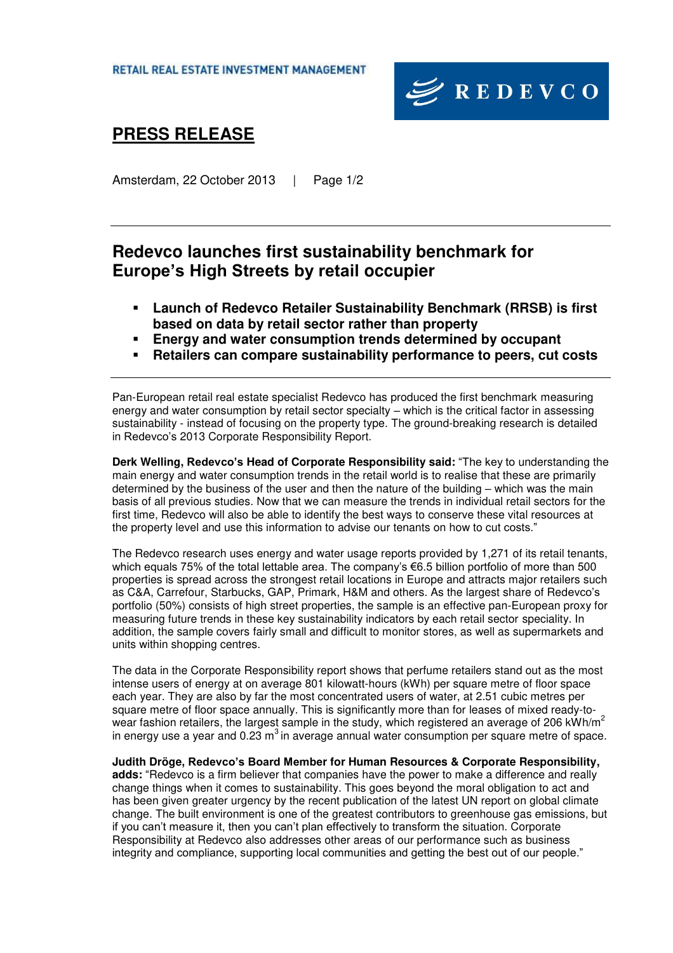

# **PRESS RELEASE**

Amsterdam, 22 October 2013 | Page 1/2

### **Redevco launches first sustainability benchmark for Europe's High Streets by retail occupier**

- **Launch of Redevco Retailer Sustainability Benchmark (RRSB) is first based on data by retail sector rather than property**
- **Energy and water consumption trends determined by occupant**
- **Retailers can compare sustainability performance to peers, cut costs**

Pan-European retail real estate specialist Redevco has produced the first benchmark measuring energy and water consumption by retail sector specialty – which is the critical factor in assessing sustainability - instead of focusing on the property type. The ground-breaking research is detailed in Redevco's 2013 Corporate Responsibility Report.

**Derk Welling, Redevco's Head of Corporate Responsibility said:** "The key to understanding the main energy and water consumption trends in the retail world is to realise that these are primarily determined by the business of the user and then the nature of the building – which was the main basis of all previous studies. Now that we can measure the trends in individual retail sectors for the first time, Redevco will also be able to identify the best ways to conserve these vital resources at the property level and use this information to advise our tenants on how to cut costs."

The Redevco research uses energy and water usage reports provided by 1,271 of its retail tenants, which equals 75% of the total lettable area. The company's €6.5 billion portfolio of more than 500 properties is spread across the strongest retail locations in Europe and attracts major retailers such as C&A, Carrefour, Starbucks, GAP, Primark, H&M and others. As the largest share of Redevco's portfolio (50%) consists of high street properties, the sample is an effective pan-European proxy for measuring future trends in these key sustainability indicators by each retail sector speciality. In addition, the sample covers fairly small and difficult to monitor stores, as well as supermarkets and units within shopping centres.

The data in the Corporate Responsibility report shows that perfume retailers stand out as the most intense users of energy at on average 801 kilowatt-hours (kWh) per square metre of floor space each year. They are also by far the most concentrated users of water, at 2.51 cubic metres per square metre of floor space annually. This is significantly more than for leases of mixed ready-towear fashion retailers, the largest sample in the study, which registered an average of 206 kWh/m<sup>2</sup> in energy use a year and  $0.23 \text{ m}^3$  in average annual water consumption per square metre of space.

**Judith Dröge, Redevco's Board Member for Human Resources & Corporate Responsibility, adds:** "Redevco is a firm believer that companies have the power to make a difference and really change things when it comes to sustainability. This goes beyond the moral obligation to act and has been given greater urgency by the recent publication of the latest UN report on global climate change. The built environment is one of the greatest contributors to greenhouse gas emissions, but if you can't measure it, then you can't plan effectively to transform the situation. Corporate Responsibility at Redevco also addresses other areas of our performance such as business integrity and compliance, supporting local communities and getting the best out of our people."